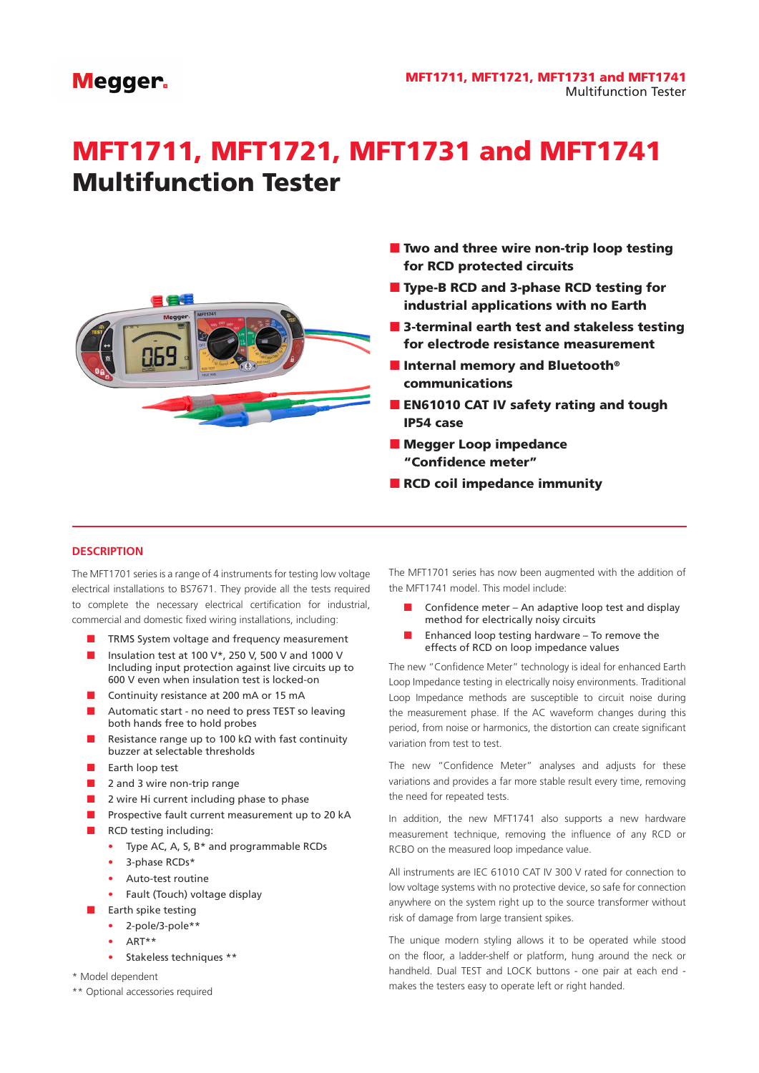# **Megger**

# MFT1711, MFT1721, MFT1731 and MFT1741 Multifunction Tester



- $\blacksquare$  Two and three wire non-trip loop testing for RCD protected circuits
- Type-B RCD and 3-phase RCD testing for industrial applications with no Earth
- 3-terminal earth test and stakeless testing for electrode resistance measurement
- Internal memory and Bluetooth<sup>®</sup> communications
- **EN61010 CAT IV safety rating and tough** IP54 case
- **Megger Loop impedance** "Confidence meter"
- RCD coil impedance immunity

## **DESCRIPTION**

The MFT1701 series is a range of 4 instruments for testing low voltage electrical installations to BS7671. They provide all the tests required to complete the necessary electrical certification for industrial, commercial and domestic fixed wiring installations, including:

- TRMS System voltage and frequency measurement
- Insulation test at 100 V\*, 250 V, 500 V and 1000 V Including input protection against live circuits up to 600 V even when insulation test is locked-on
- Continuity resistance at 200 mA or 15 mA
- Automatic start no need to press TEST so leaving both hands free to hold probes
- Resistance range up to 100 kΩ with fast continuity buzzer at selectable thresholds
- Earth loop test
- 2 and 3 wire non-trip range
- 2 wire Hi current including phase to phase
- Prospective fault current measurement up to 20 kA
- RCD testing including:
	- Type AC, A, S, B\* and programmable RCDs
	- 3-phase RCDs\*
	- Auto-test routine
	- Fault (Touch) voltage display
	- Earth spike testing
		- 2-pole/3-pole\*\*
		- ART\*\*
		- Stakeless techniques \*\*
- \* Model dependent
- \*\* Optional accessories required

The MFT1701 series has now been augmented with the addition of the MFT1741 model. This model include:

- Confidence meter An adaptive loop test and display method for electrically noisy circuits
- Enhanced loop testing hardware To remove the effects of RCD on loop impedance values

The new "Confidence Meter" technology is ideal for enhanced Earth Loop Impedance testing in electrically noisy environments. Traditional Loop Impedance methods are susceptible to circuit noise during the measurement phase. If the AC waveform changes during this period, from noise or harmonics, the distortion can create significant variation from test to test.

The new "Confidence Meter" analyses and adjusts for these variations and provides a far more stable result every time, removing the need for repeated tests.

In addition, the new MFT1741 also supports a new hardware measurement technique, removing the influence of any RCD or RCBO on the measured loop impedance value.

All instruments are IEC 61010 CAT IV 300 V rated for connection to low voltage systems with no protective device, so safe for connection anywhere on the system right up to the source transformer without risk of damage from large transient spikes.

The unique modern styling allows it to be operated while stood on the floor, a ladder-shelf or platform, hung around the neck or handheld. Dual TEST and LOCK buttons - one pair at each end makes the testers easy to operate left or right handed.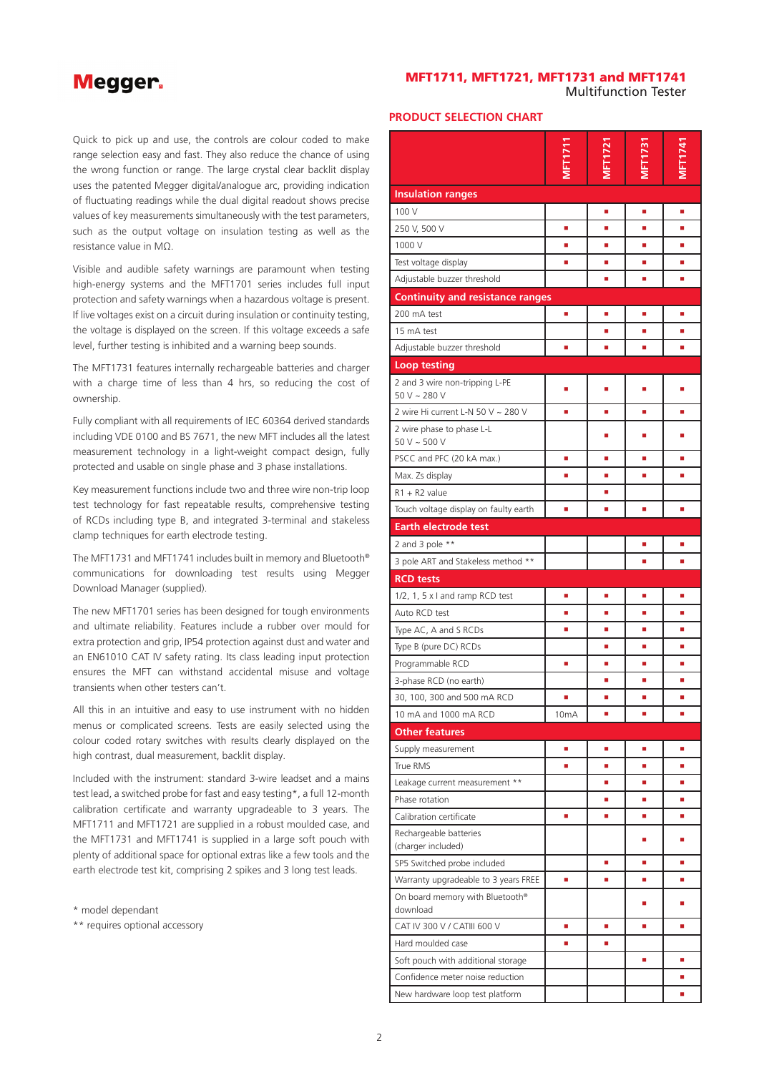# **Megger**

# MFT1711, MFT1721, MFT1731 and MFT1741 Multifunction Tester

Quick to pick up and use, the controls are colour coded to make range selection easy and fast. They also reduce the chance of using the wrong function or range. The large crystal clear backlit display uses the patented Megger digital/analogue arc, providing indication of fluctuating readings while the dual digital readout shows precise values of key measurements simultaneously with the test parameters, such as the output voltage on insulation testing as well as the resistance value in MΩ.

Visible and audible safety warnings are paramount when testing high-energy systems and the MFT1701 series includes full input protection and safety warnings when a hazardous voltage is present. If live voltages exist on a circuit during insulation or continuity testing, the voltage is displayed on the screen. If this voltage exceeds a safe level, further testing is inhibited and a warning beep sounds.

The MFT1731 features internally rechargeable batteries and charger with a charge time of less than 4 hrs, so reducing the cost of ownership.

Fully compliant with all requirements of IEC 60364 derived standards including VDE 0100 and BS 7671, the new MFT includes all the latest measurement technology in a light-weight compact design, fully protected and usable on single phase and 3 phase installations.

Key measurement functions include two and three wire non-trip loop test technology for fast repeatable results, comprehensive testing of RCDs including type B, and integrated 3-terminal and stakeless clamp techniques for earth electrode testing.

The MFT1731 and MFT1741 includes built in memory and Bluetooth® communications for downloading test results using Megger Download Manager (supplied).

The new MFT1701 series has been designed for tough environments and ultimate reliability. Features include a rubber over mould for extra protection and grip, IP54 protection against dust and water and an EN61010 CAT IV safety rating. Its class leading input protection ensures the MFT can withstand accidental misuse and voltage transients when other testers can't.

All this in an intuitive and easy to use instrument with no hidden menus or complicated screens. Tests are easily selected using the colour coded rotary switches with results clearly displayed on the high contrast, dual measurement, backlit display.

Included with the instrument: standard 3-wire leadset and a mains test lead, a switched probe for fast and easy testing\*, a full 12-month calibration certificate and warranty upgradeable to 3 years. The MFT1711 and MFT1721 are supplied in a robust moulded case, and the MFT1731 and MFT1741 is supplied in a large soft pouch with plenty of additional space for optional extras like a few tools and the earth electrode test kit, comprising 2 spikes and 3 long test leads.

\* model dependant

\*\* requires optional accessory

## **PRODUCT SELECTION CHART**

| <b>Insulation ranges</b>                            |                   |    |    |    |
|-----------------------------------------------------|-------------------|----|----|----|
| 100 V                                               |                   | ٠  | п  | п  |
| 250 V, 500 V                                        | a,                | ٠  | ٠  | ٠  |
| 1000 V                                              | ٠                 | ٠  | ш  | ٠  |
| Test voltage display                                | ٠                 | ш  | ш  | ٠  |
| Adjustable buzzer threshold                         |                   | a, | ù, | a, |
| <b>Continuity and resistance ranges</b>             |                   |    |    |    |
| 200 mA test                                         | ٠                 | a, | ×  | ٠  |
| 15 mA test                                          |                   | ٠  | a, | ٠  |
| Adjustable buzzer threshold                         | L,                | ٠  | ٠  | ٠  |
| <b>Loop testing</b>                                 |                   |    |    |    |
| 2 and 3 wire non-tripping L-PE<br>$50 V \sim 280 V$ | ٠                 | ٠  | ٠  | п  |
| 2 wire Hi current L-N 50 V ~ 280 V                  | ٠                 | ×  | ×  | ٥  |
| 2 wire phase to phase L-L<br>$50 V \sim 500 V$      |                   |    | п  |    |
| PSCC and PFC (20 kA max.)                           | a,                | ٠  | ш  | E  |
| Max. Zs display                                     | ٠                 | ٠  | ٠  | ٠  |
| $R1 + R2$ value                                     |                   | ٠  |    |    |
| Touch voltage display on faulty earth               | ٠                 | п  | п  | п  |
| <b>Earth electrode test</b>                         |                   |    |    |    |
| 2 and 3 pole **                                     |                   |    | ×  | ш  |
| 3 pole ART and Stakeless method **                  |                   |    | ш  | ٠  |
| <b>RCD tests</b>                                    |                   |    |    |    |
| 1/2, 1, 5 x I and ramp RCD test                     | ٠                 | ٠  | ш  | ٠  |
| Auto RCD test                                       | ٠                 | ٠  | ш  | п  |
| Type AC, A and S RCDs                               | a,                | a, | ٠  | ٠  |
| Type B (pure DC) RCDs                               |                   | п  | L, | п  |
| Programmable RCD                                    | ×                 | ٠  | ×  | ٠  |
| 3-phase RCD (no earth)                              |                   | ×  | u, | ×  |
| 30, 100, 300 and 500 mA RCD                         |                   |    | п  |    |
| 10 mA and 1000 mA RCD                               | 10 <sub>m</sub> A |    |    | Ľ, |
| <b>Other features</b>                               |                   |    |    |    |
| Supply measurement                                  | ٠                 | ٠  | ٠  | ٠  |
| True RMS                                            | ٠                 | ш  | a, | ш  |
| Leakage current measurement **                      |                   | ٠  | u, | ٠  |
| Phase rotation                                      |                   | ٠  | ٠  | ٠  |
| Calibration certificate                             | ٠                 | ш  | a, | ш  |
| Rechargeable batteries                              |                   |    | ٠  | ٠  |
| (charger included)                                  |                   |    |    |    |
| SP5 Switched probe included                         |                   | ٠  | ш  | ٠  |
| Warranty upgradeable to 3 years FREE                | ٠                 | ٠  | п  | ٠  |
| On board memory with Bluetooth®<br>download         |                   |    | п  | п  |
| CAT IV 300 V / CATIII 600 V                         | ٠                 | ٠  | ٠  | ш  |
| Hard moulded case                                   | ٠                 | ٠  |    |    |
| Soft pouch with additional storage                  |                   |    | ٠  | ٠  |
| Confidence meter noise reduction                    |                   |    |    | ٠  |
| New hardware loop test platform                     |                   |    |    | ٠  |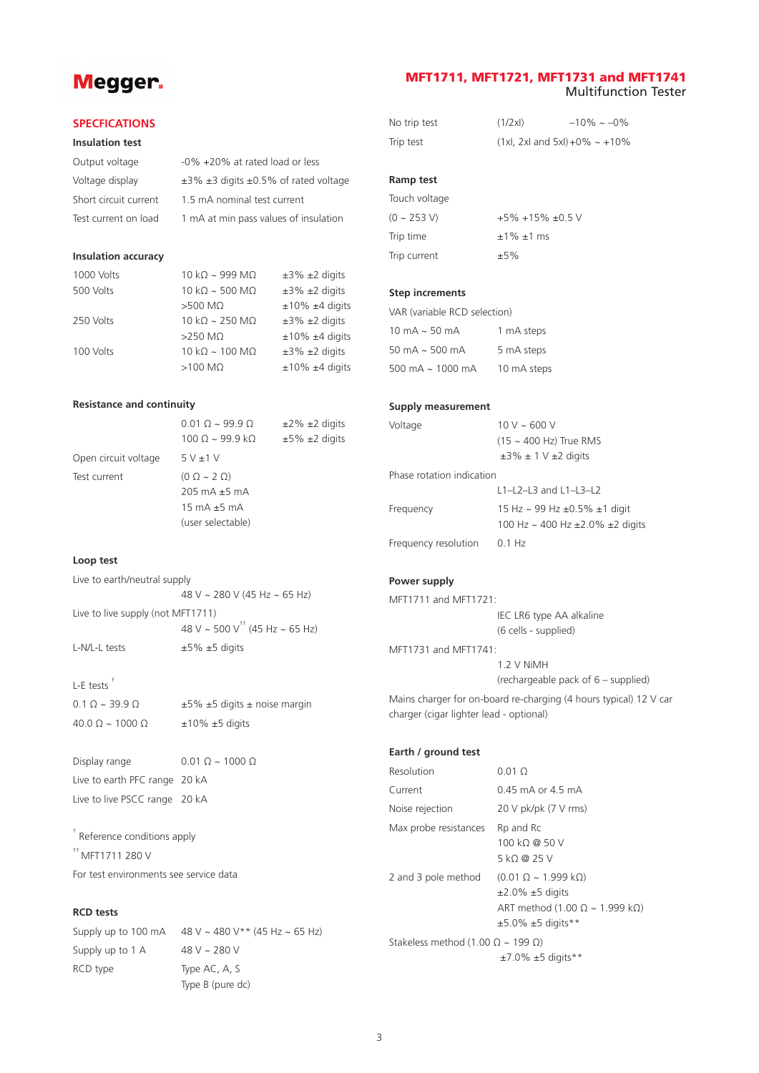# **Megger**

# MFT1711, MFT1721, MFT1731 and MFT1741 Multifunction Tester

### **SPECFICATIONS**

### **Insulation test**

| Output voltage        | -0% +20% at rated load or less                      |
|-----------------------|-----------------------------------------------------|
| Voltage display       | $\pm$ 3% $\pm$ 3 digits $\pm$ 0.5% of rated voltage |
| Short circuit current | 1.5 mA nominal test current                         |
| Test current on load  | 1 mA at min pass values of insulation               |

#### **Insulation accuracy**

| $10 k\Omega \sim 999 M\Omega$ | $\pm 3\%$ $\pm 2$ digits |
|-------------------------------|--------------------------|
| $10 kQ \sim 500 MQ$           | $±3\% ±2$ digits         |
| $>500$ M $\Omega$             | $±10\% ±4$ digits        |
| $10 kQ \approx 250 MQ$        | $±3\% ±2$ digits         |
| $>250$ MO                     | $±10\% ±4$ digits        |
| $10 kQ \sim 100 MQ$           | $±3\% ±2$ digits         |
| $>100$ M $\Omega$             | $±10\% ±4$ digits        |
|                               |                          |

## **Resistance and continuity**

|                      | $0.010 - 9990$                                                                      | $\pm 2\%$ $\pm 2$ digits |
|----------------------|-------------------------------------------------------------------------------------|--------------------------|
|                      | $100 \Omega \sim 99.9 \text{ k}\Omega$                                              | $±5\% ±2$ digits         |
| Open circuit voltage | 5V±1V                                                                               |                          |
| Test current         | $(0 \Omega \sim 2 \Omega)$<br>$205 \text{ mA} \pm 5 \text{ mA}$<br>15 mA $\pm$ 5 mA |                          |
|                      | (user selectable)                                                                   |                          |

# **Loop test**

| Live to earth/neutral supply      |                                            |
|-----------------------------------|--------------------------------------------|
|                                   | 48 V ~ 280 V (45 Hz ~ 65 Hz)               |
| Live to live supply (not MFT1711) |                                            |
|                                   | 48 V ~ 500 V <sup>++</sup> (45 Hz ~ 65 Hz) |

# L-E tests †

| $0.1 \Omega \sim 39.9 \Omega$  | $\pm 5\%$ $\pm 5$ digits $\pm$ noise margin |
|--------------------------------|---------------------------------------------|
| $40.0 \Omega \sim 1000 \Omega$ | $±10\% ±5$ digits                           |

Display range 0.01  $\Omega \sim 1000 \Omega$ Live to earth PFC range 20 kA Live to live PSCC range 20 kA

L-N/L-L tests  $\pm 5\% \pm 5$  digits

† Reference conditions apply  $*$ <sup>++</sup> MFT1711 280 V For test environments see service data

# **RCD tests**

Supply up to 100 mA  $48$  V ~ 480 V \*\* (45 Hz ~ 65 Hz) Supply up to  $1 \text{ A}$  48 V ~ 280 V RCD type Type AC, A, S Type B (pure dc)

| No trip test | (1/2x) | $-10\% - 0\%$                      |
|--------------|--------|------------------------------------|
| Trip test    |        | $(1xl, 2xl$ and $5xl$ ) +0% ~ +10% |

# **Ramp test**

Touch voltage  $(0 \sim 253 \text{ V})$  +5% +15% ±0.5 V Trip time  $\pm 1\% \pm 1$  ms Trip current  $±5\%$ 

# **Step increments**

| VAR (variable RCD selection) |             |  |  |
|------------------------------|-------------|--|--|
| 10 mA $\sim$ 50 mA           | 1 mA steps  |  |  |
| 50 mA $\sim$ 500 mA          | 5 mA steps  |  |  |
| 500 mA $\sim$ 1000 mA        | 10 mA steps |  |  |

#### **Supply measurement**

| Voltage                   | $10 V \sim 600 V$                              |
|---------------------------|------------------------------------------------|
|                           | (15 ~ 400 Hz) True RMS                         |
|                           | $\pm 3\% \pm 1$ V $\pm 2$ digits               |
| Phase rotation indication |                                                |
|                           | $L1 - L2 - L3$ and $L1 - L3 - L2$              |
| Frequency                 | 15 Hz $\sim$ 99 Hz $\pm$ 0.5% $\pm$ 1 digit    |
|                           | 100 Hz $\sim$ 400 Hz $\pm$ 2.0% $\pm$ 2 digits |
| Frequency resolution      | 0.1 Hz                                         |

# **Power supply**

| MFT1711 and MFT1721:                    |                                                                   |
|-----------------------------------------|-------------------------------------------------------------------|
|                                         | IEC LR6 type AA alkaline                                          |
|                                         | (6 cells - supplied)                                              |
| MFT1731 and MFT1741:                    |                                                                   |
|                                         | 1.2 V NiMH                                                        |
|                                         | (rechargeable pack of 6 – supplied)                               |
|                                         | Mains charger for on-board re-charging (4 hours typical) 12 V car |
| charger (cigar lighter lead - optional) |                                                                   |

# **Earth / ground test**

| Resolution                                        | $0.01$ $\Omega$                                                                                                                                       |
|---------------------------------------------------|-------------------------------------------------------------------------------------------------------------------------------------------------------|
| Current                                           | 0.45 mA or 4.5 mA                                                                                                                                     |
| Noise rejection                                   | $20 \text{ V}$ pk/pk $(7 \text{ V}$ rms)                                                                                                              |
| Max probe resistances                             | Rp and Rc<br>100 kQ @ 50 V<br>5 kQ @ 25 V                                                                                                             |
| 2 and 3 pole method                               | $(0.01 \Omega \sim 1.999 \text{ k}\Omega)$<br>$\pm 2.0\%$ $\pm 5$ digits<br>ART method (1.00 $\Omega \sim 1.999$ k $\Omega$ )<br>$±5.0\% ±5$ digits** |
| Stakeless method (1.00 $\Omega \sim 199 \Omega$ ) | $\pm$ 7.0% $\pm$ 5 digits**                                                                                                                           |